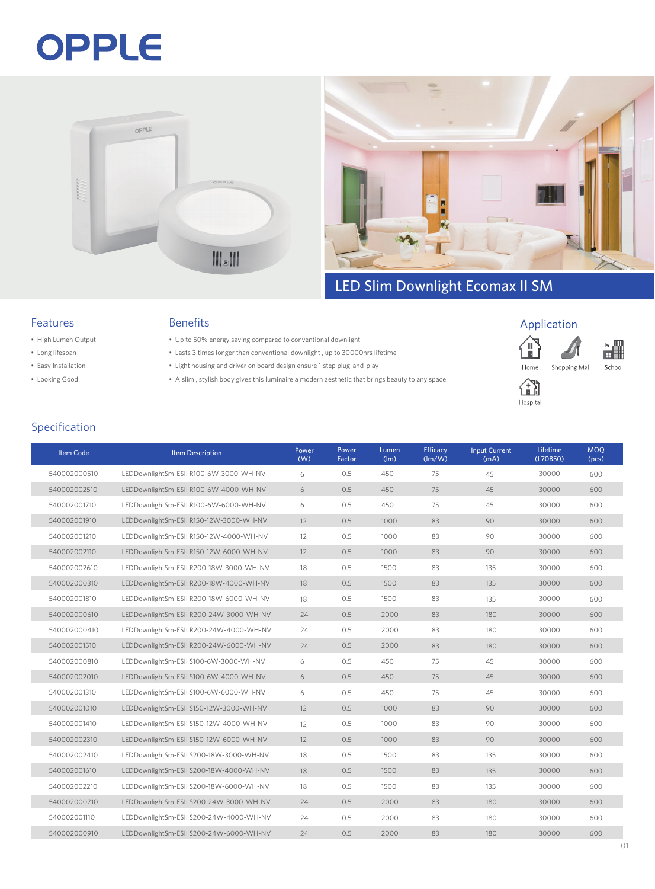# OPPLE





### LED Slim Downlight Ecomax II SM

#### Features

- High Lumen Output
- Long lifespan
- Easy Installation
- Looking Good

#### Benefits

- Up to 50% energy saving compared to conventional downlight
- Lasts 3 times longer than conventional downlight , up to 30000hrs lifetime
- Light housing and driver on board design ensure 1 step plug-and-play
- A slim , stylish body gives this luminaire a modern aesthetic that brings beauty to any space









#### Specification

| <b>Item Code</b> | <b>Item Description</b>                 | Power<br>(W) | Power<br>Factor | Lumen<br>(lm) | Efficacy<br>(lm/W) | <b>Input Current</b><br>(mA) | Lifetime<br>(L70B50) | <b>MOQ</b><br>(pcs) |
|------------------|-----------------------------------------|--------------|-----------------|---------------|--------------------|------------------------------|----------------------|---------------------|
| 540002000510     | LEDDownlightSm-ESII R100-6W-3000-WH-NV  | 6            | 0.5             | 450           | 75                 | 45                           | 30000                | 600                 |
| 540002002510     | LEDDownlightSm-ESII R100-6W-4000-WH-NV  | 6            | 0.5             | 450           | 75                 | 45                           | 30000                | 600                 |
| 540002001710     | LEDDownlightSm-ESII R100-6W-6000-WH-NV  | 6            | 0.5             | 450           | 75                 | 45                           | 30000                | 600                 |
| 540002001910     | LEDDownlightSm-ESII R150-12W-3000-WH-NV | 12           | 0.5             | 1000          | 83                 | 90                           | 30000                | 600                 |
| 540002001210     | LEDDownlightSm-ESII R150-12W-4000-WH-NV | 12           | 0.5             | 1000          | 83                 | 90                           | 30000                | 600                 |
| 540002002110     | LEDDownlightSm-ESII R150-12W-6000-WH-NV | 12           | 0.5             | 1000          | 83                 | 90                           | 30000                | 600                 |
| 540002002610     | LEDDownlightSm-ESII R200-18W-3000-WH-NV | 18           | 0.5             | 1500          | 83                 | 135                          | 30000                | 600                 |
| 540002000310     | LEDDownlightSm-ESII R200-18W-4000-WH-NV | 18           | 0.5             | 1500          | 83                 | 135                          | 30000                | 600                 |
| 540002001810     | LEDDownlightSm-ESII R200-18W-6000-WH-NV | 18           | 0.5             | 1500          | 83                 | 135                          | 30000                | 600                 |
| 540002000610     | LEDDownlightSm-ESII R200-24W-3000-WH-NV | 24           | 0.5             | 2000          | 83                 | 180                          | 30000                | 600                 |
| 540002000410     | LEDDownlightSm-ESII R200-24W-4000-WH-NV | 24           | 0.5             | 2000          | 83                 | 180                          | 30000                | 600                 |
| 540002001510     | LEDDownlightSm-ESII R200-24W-6000-WH-NV | 24           | 0.5             | 2000          | 83                 | 180                          | 30000                | 600                 |
| 540002000810     | LEDDownlightSm-ESII S100-6W-3000-WH-NV  | 6            | 0.5             | 450           | 75                 | 45                           | 30000                | 600                 |
| 540002002010     | LEDDownlightSm-ESII S100-6W-4000-WH-NV  | 6            | 0.5             | 450           | 75                 | 45                           | 30000                | 600                 |
| 540002001310     | LEDDownlightSm-ESII S100-6W-6000-WH-NV  | 6            | 0.5             | 450           | 75                 | 45                           | 30000                | 600                 |
| 540002001010     | LEDDownlightSm-ESII S150-12W-3000-WH-NV | 12           | 0.5             | 1000          | 83                 | 90                           | 30000                | 600                 |
| 540002001410     | LEDDownlightSm-ESII S150-12W-4000-WH-NV | 12           | 0.5             | 1000          | 83                 | 90                           | 30000                | 600                 |
| 540002002310     | LEDDownlightSm-ESII S150-12W-6000-WH-NV | 12           | 0.5             | 1000          | 83                 | 90                           | 30000                | 600                 |
| 540002002410     | LEDDownlightSm-ESII S200-18W-3000-WH-NV | 18           | 0.5             | 1500          | 83                 | 135                          | 30000                | 600                 |
| 540002001610     | LEDDownlightSm-ESII S200-18W-4000-WH-NV | 18           | 0.5             | 1500          | 83                 | 135                          | 30000                | 600                 |
| 540002002210     | LEDDownlightSm-ESII S200-18W-6000-WH-NV | 18           | 0.5             | 1500          | 83                 | 135                          | 30000                | 600                 |
| 540002000710     | LEDDownlightSm-ESII S200-24W-3000-WH-NV | 24           | 0.5             | 2000          | 83                 | 180                          | 30000                | 600                 |
| 540002001110     | LEDDownlightSm-ESII S200-24W-4000-WH-NV | 24           | 0.5             | 2000          | 83                 | 180                          | 30000                | 600                 |
| 540002000910     | LEDDownlightSm-ESII S200-24W-6000-WH-NV | 24           | 0.5             | 2000          | 83                 | 180                          | 30000                | 600                 |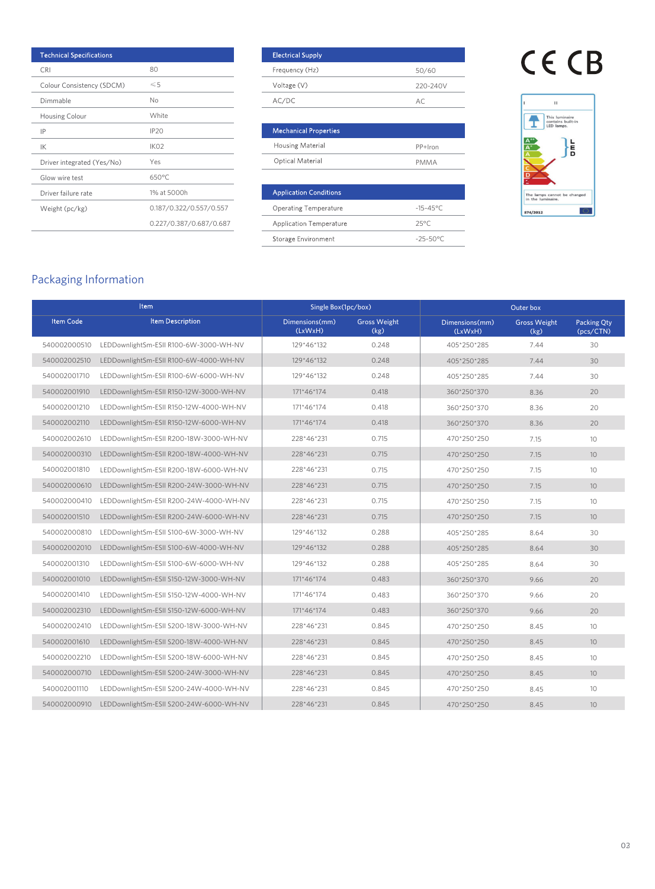| <b>Technical Specifications</b> |                         | <b>Electrical Supply</b>       |                      |
|---------------------------------|-------------------------|--------------------------------|----------------------|
| <b>CRI</b>                      | 80                      | Frequency (Hz)                 | 50/60                |
| Colour Consistency (SDCM)       | $\leqslant$ 5           | Voltage (V)                    | 220-240              |
| Dimmable                        | No                      | AC/DC                          | AC                   |
| Housing Colour                  | White                   |                                |                      |
| IP                              | IP <sub>20</sub>        | <b>Mechanical Properties</b>   |                      |
| IK                              | IK <sub>02</sub>        | Housing Material               | PP+Iron              |
| Driver integrated (Yes/No)      | Yes                     | Optical Material               | <b>PMMA</b>          |
| Glow wire test                  | $650^{\circ}$ C         |                                |                      |
| Driver failure rate             | 1% at 5000h             | <b>Application Conditions</b>  |                      |
| Weight (pc/kg)                  | 0.187/0.322/0.557/0.557 | <b>Operating Temperature</b>   | $-15 - 45^{\circ}$ C |
|                                 | 0.227/0.387/0.687/0.687 | <b>Application Temperature</b> | $25^{\circ}$ C       |

| <b>Electrical Supply</b> |          |
|--------------------------|----------|
| Frequency (Hz)           | 50/60    |
| Voltage (V)              | 220-240V |
| AC/DC                    | AC       |

| <b>Mechanical Properties</b> |           |  |  |  |
|------------------------------|-----------|--|--|--|
| <b>Housing Material</b>      | $PP+lron$ |  |  |  |
| Optical Material             | PMMA      |  |  |  |

| <b>Application Conditions</b>  |                |
|--------------------------------|----------------|
| <b>Operating Temperature</b>   | $-15 - 45$ °C  |
| <b>Application Temperature</b> | $25^{\circ}$ C |
| Storage Environment            | $-25 - 50$ °C  |
|                                |                |

## CE CB



### Packaging Information

| Item             |                                         | Single Box(1pc/box)       |                             | Outer box                 |                             |                          |
|------------------|-----------------------------------------|---------------------------|-----------------------------|---------------------------|-----------------------------|--------------------------|
| <b>Item Code</b> | <b>Item Description</b>                 | Dimensions(mm)<br>(LxWxH) | <b>Gross Weight</b><br>(kg) | Dimensions(mm)<br>(LxWxH) | <b>Gross Weight</b><br>(kg) | Packing Qty<br>(pcs/CTN) |
| 540002000510     | LEDDownlightSm-ESII R100-6W-3000-WH-NV  | 129*46*132                | 0.248                       | 405*250*285               | 7.44                        | 30                       |
| 540002002510     | LEDDownlightSm-ESII R100-6W-4000-WH-NV  | 129*46*132                | 0.248                       | 405*250*285               | 7.44                        | 30                       |
| 540002001710     | LEDDownlightSm-ESII R100-6W-6000-WH-NV  | 129*46*132                | 0.248                       | 405*250*285               | 7.44                        | 30                       |
| 540002001910     | LEDDownlightSm-ESII R150-12W-3000-WH-NV | 171*46*174                | 0.418                       | 360*250*370               | 8.36                        | 20                       |
| 540002001210     | LEDDownlightSm-ESII R150-12W-4000-WH-NV | 171*46*174                | 0.418                       | 360*250*370               | 8.36                        | 20                       |
| 540002002110     | LEDDownlightSm-ESII R150-12W-6000-WH-NV | 171*46*174                | 0.418                       | 360*250*370               | 8.36                        | 20                       |
| 540002002610     | LEDDownlightSm-ESII R200-18W-3000-WH-NV | 228*46*231                | 0.715                       | 470*250*250               | 7.15                        | 10                       |
| 540002000310     | LEDDownlightSm-ESII R200-18W-4000-WH-NV | 228*46*231                | 0.715                       | 470*250*250               | 7.15                        | 10                       |
| 540002001810     | LEDDownlightSm-ESII R200-18W-6000-WH-NV | 228*46*231                | 0.715                       | 470*250*250               | 7.15                        | 10                       |
| 540002000610     | LEDDownlightSm-ESII R200-24W-3000-WH-NV | 228*46*231                | 0.715                       | 470*250*250               | 7.15                        | 10                       |
| 540002000410     | LEDDownlightSm-ESII R200-24W-4000-WH-NV | 228*46*231                | 0.715                       | 470*250*250               | 7.15                        | 10 <sup>1</sup>          |
| 540002001510     | LEDDownlightSm-ESII R200-24W-6000-WH-NV | 228*46*231                | 0.715                       | 470*250*250               | 7.15                        | 10 <sup>°</sup>          |
| 540002000810     | LEDDownlightSm-ESII S100-6W-3000-WH-NV  | 129*46*132                | 0.288                       | 405*250*285               | 8.64                        | 30                       |
| 540002002010     | LEDDownlightSm-ESII S100-6W-4000-WH-NV  | 129*46*132                | 0.288                       | 405*250*285               | 8.64                        | 30                       |
| 540002001310     | LEDDownlightSm-ESII S100-6W-6000-WH-NV  | 129*46*132                | 0.288                       | 405*250*285               | 8.64                        | 30                       |
| 540002001010     | LEDDownlightSm-ESII S150-12W-3000-WH-NV | 171*46*174                | 0.483                       | 360*250*370               | 9.66                        | 20 <sup>°</sup>          |
| 540002001410     | LEDDownlightSm-ESII S150-12W-4000-WH-NV | 171*46*174                | 0.483                       | 360*250*370               | 9.66                        | 20                       |
| 540002002310     | LEDDownlightSm-ESII S150-12W-6000-WH-NV | 171*46*174                | 0.483                       | 360*250*370               | 9.66                        | 20                       |
| 540002002410     | LEDDownlightSm-ESII S200-18W-3000-WH-NV | 228*46*231                | 0.845                       | 470*250*250               | 8.45                        | 10 <sup>2</sup>          |
| 540002001610     | LEDDownlightSm-ESII S200-18W-4000-WH-NV | 228*46*231                | 0.845                       | 470*250*250               | 8.45                        | 10                       |
| 540002002210     | LEDDownlightSm-ESII S200-18W-6000-WH-NV | 228*46*231                | 0.845                       | 470*250*250               | 8.45                        | 10                       |
| 540002000710     | LEDDownlightSm-ESII S200-24W-3000-WH-NV | 228*46*231                | 0.845                       | 470*250*250               | 8.45                        | 10                       |
| 540002001110     | LEDDownlightSm-ESII S200-24W-4000-WH-NV | 228*46*231                | 0.845                       | 470*250*250               | 8.45                        | 10 <sup>2</sup>          |
| 540002000910     | LEDDownlightSm-ESII S200-24W-6000-WH-NV | 228*46*231                | 0.845                       | 470*250*250               | 8.45                        | 10                       |